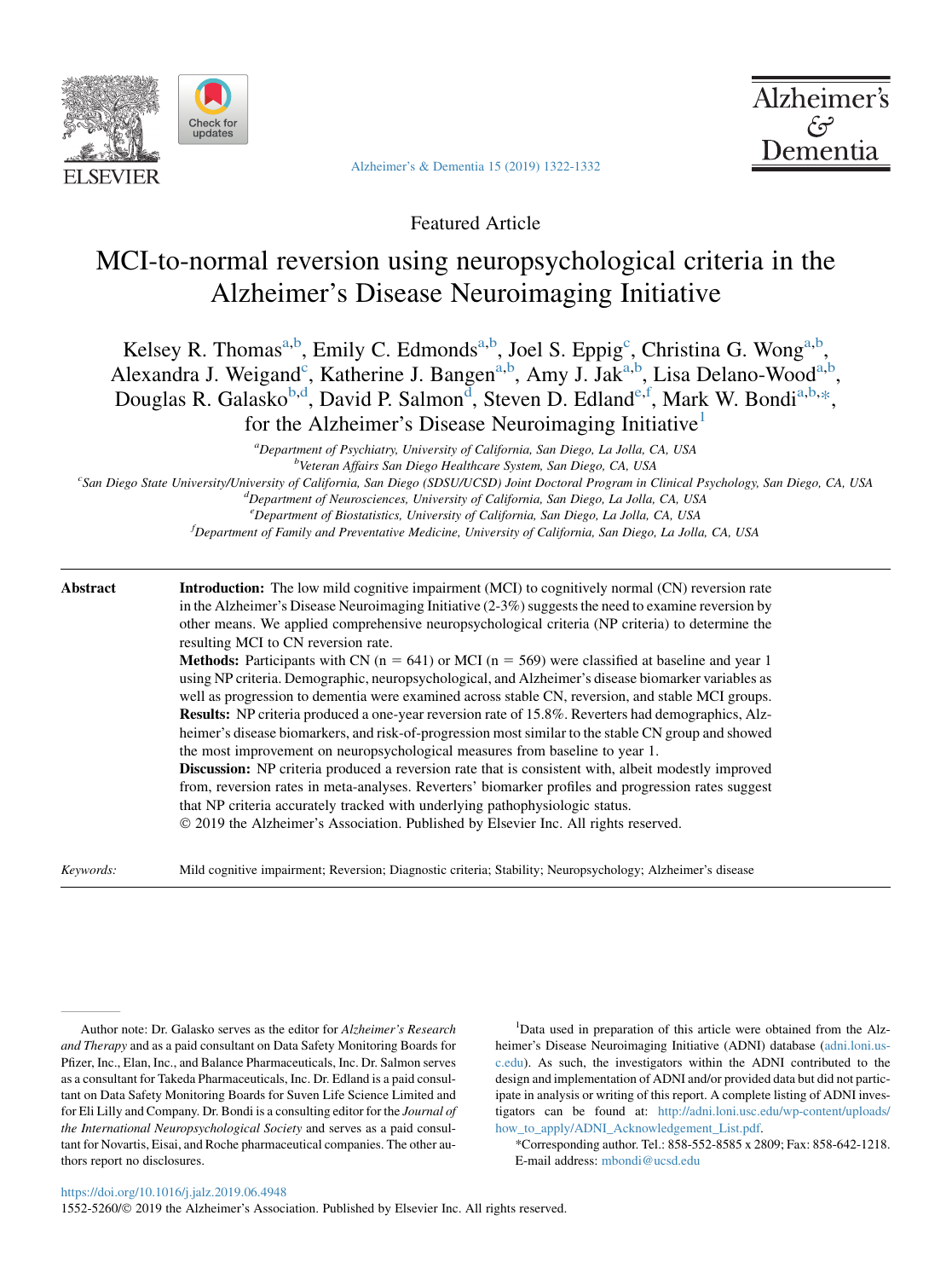

[Alzheimer's & Dementia 15 \(2019\) 1322-1332](https://doi.org/10.1016/j.jalz.2019.06.4948)



Featured Article

# MCI-to-normal reversion using neuropsychological criteria in the Alzheimer's Disease Neuroimaging Initiative

Kelsey R. Thomas<sup>a,b</sup>, Emily C. Edmonds<sup>a,b</sup>, Joel S. Eppig<sup>c</sup>, Christina G. Wong<sup>a,b</sup>, Alexandra J. Weigand<sup>c</sup>, Katherine J. Bangen<sup>a,b</sup>, Amy J. Jak<sup>a,b</sup>, Lisa Delano-Wood<sup>a,b</sup>, Douglas R. Galasko<sup>b,d</sup>, David P. Salmon<sup>d</sup>, Steven D. Edland<sup>e,f</sup>, Mark W. Bondi<sup>a,b,\*</sup>,

for the Alzheimer's Disease Neuroimaging Initiative<sup>1</sup>

<sup>a</sup>Department of Psychiatry, University of California, San Diego, La Jolla, CA, USA b<br>Veteran Affairs San Diego Healthcare System, San Diego, CA, USA و Veteran Affairs San Diego, Healthcare System, San Diego, CA, USA<br>Can Diego, State University/University of California, San Diego (SDSU/UCSD), Joint Doctor

San Diego State University/University of California, San Diego (SDSU/UCSD) Joint Doctoral Program in Clinical Psychology, San Diego, CA, USA <sup>d</sup>

 ${}^{d}$ Department of Neurosciences, University of California, San Diego, La Jolla, CA, USA

<sup>e</sup> Department of Biostatistics, University of California, San Diego, La Jolla, CA, USA

<sup>f</sup>Department of Family and Preventative Medicine, University of California, San Diego, La Jolla, CA, USA

# Abstract Introduction: The low mild cognitive impairment (MCI) to cognitively normal (CN) reversion rate in the Alzheimer's Disease Neuroimaging Initiative (2-3%) suggests the need to examine reversion by other means. We applied comprehensive neuropsychological criteria (NP criteria) to determine the resulting MCI to CN reversion rate.

**Methods:** Participants with CN ( $n = 641$ ) or MCI ( $n = 569$ ) were classified at baseline and year 1 using NP criteria. Demographic, neuropsychological, and Alzheimer's disease biomarker variables as well as progression to dementia were examined across stable CN, reversion, and stable MCI groups. Results: NP criteria produced a one-year reversion rate of 15.8%. Reverters had demographics, Alzheimer's disease biomarkers, and risk-of-progression most similar to the stable CN group and showed the most improvement on neuropsychological measures from baseline to year 1.

Discussion: NP criteria produced a reversion rate that is consistent with, albeit modestly improved from, reversion rates in meta-analyses. Reverters' biomarker profiles and progression rates suggest that NP criteria accurately tracked with underlying pathophysiologic status.

2019 the Alzheimer's Association. Published by Elsevier Inc. All rights reserved.

Keywords: Mild cognitive impairment; Reversion; Diagnostic criteria; Stability; Neuropsychology; Alzheimer's disease

Author note: Dr. Galasko serves as the editor for Alzheimer's Research and Therapy and as a paid consultant on Data Safety Monitoring Boards for Pfizer, Inc., Elan, Inc., and Balance Pharmaceuticals, Inc. Dr. Salmon serves as a consultant for Takeda Pharmaceuticals, Inc. Dr. Edland is a paid consultant on Data Safety Monitoring Boards for Suven Life Science Limited and for Eli Lilly and Company. Dr. Bondi is a consulting editor for the Journal of the International Neuropsychological Society and serves as a paid consultant for Novartis, Eisai, and Roche pharmaceutical companies. The other authors report no disclosures.

<sup>1</sup>Data used in preparation of this article were obtained from the Alzheimer's Disease Neuroimaging Initiative (ADNI) database [\(adni.loni.us](http://adni.loni.usc.edu)[c.edu](http://adni.loni.usc.edu)). As such, the investigators within the ADNI contributed to the design and implementation of ADNI and/or provided data but did not participate in analysis or writing of this report. A complete listing of ADNI investigators can be found at: [http://adni.loni.usc.edu/wp-content/uploads/](http://adni.loni.usc.edu/wp-content/uploads/how_to_apply/ADNI_Acknowledgement_List.pdf) [how\\_to\\_apply/ADNI\\_Acknowledgement\\_List.pdf](http://adni.loni.usc.edu/wp-content/uploads/how_to_apply/ADNI_Acknowledgement_List.pdf).

\*Corresponding author. Tel.: 858-552-8585 x 2809; Fax: 858-642-1218. E-mail address: [mbondi@ucsd.edu](mailto:mbondi@ucsd.edu)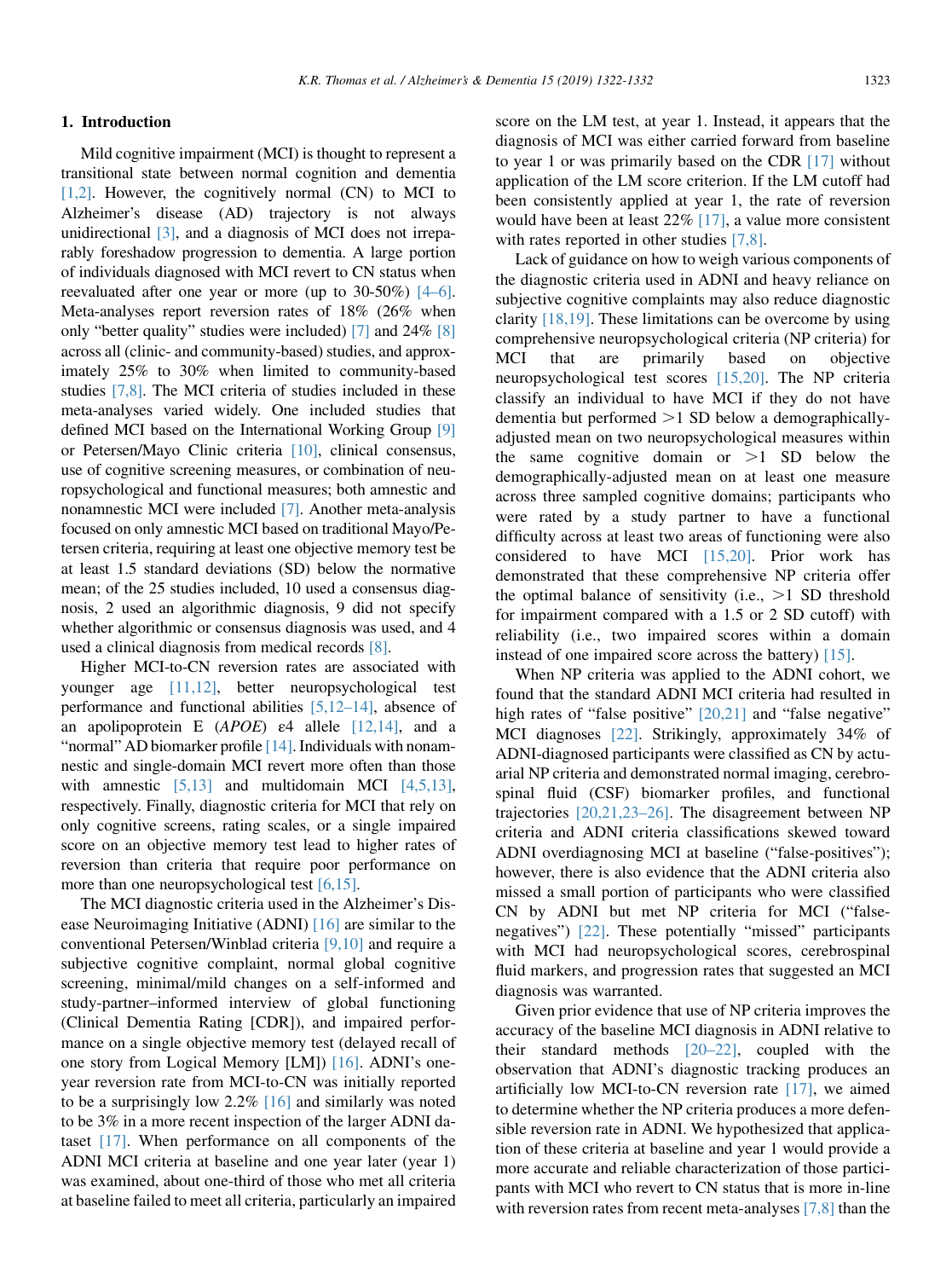#### 1. Introduction

Mild cognitive impairment (MCI) is thought to represent a transitional state between normal cognition and dementia [\[1,2\].](#page-9-0) However, the cognitively normal (CN) to MCI to Alzheimer's disease (AD) trajectory is not always unidirectional [\[3\]](#page-10-0), and a diagnosis of MCI does not irreparably foreshadow progression to dementia. A large portion of individuals diagnosed with MCI revert to CN status when reevaluated after one year or more (up to 30-50%) [\[4–6\].](#page-10-0) Meta-analyses report reversion rates of 18% (26% when only "better quality" studies were included) [\[7\]](#page-10-0) and 24% [\[8\]](#page-10-0) across all (clinic- and community-based) studies, and approximately 25% to 30% when limited to community-based studies [\[7,8\]](#page-10-0). The MCI criteria of studies included in these meta-analyses varied widely. One included studies that defined MCI based on the International Working Group [\[9\]](#page-10-0) or Petersen/Mayo Clinic criteria [\[10\]](#page-10-0), clinical consensus, use of cognitive screening measures, or combination of neuropsychological and functional measures; both amnestic and nonamnestic MCI were included [\[7\]](#page-10-0). Another meta-analysis focused on only amnestic MCI based on traditional Mayo/Petersen criteria, requiring at least one objective memory test be at least 1.5 standard deviations (SD) below the normative mean; of the 25 studies included, 10 used a consensus diagnosis, 2 used an algorithmic diagnosis, 9 did not specify whether algorithmic or consensus diagnosis was used, and 4 used a clinical diagnosis from medical records [\[8\].](#page-10-0)

Higher MCI-to-CN reversion rates are associated with younger age [\[11,12\]](#page-10-0), better neuropsychological test performance and functional abilities [\[5,12–14\]](#page-10-0), absence of an apolipoprotein E  $(APOE)$   $\varepsilon$ 4 allele [\[12,14\]](#page-10-0), and a "normal" AD biomarker profile [\[14\].](#page-10-0) Individuals with nonamnestic and single-domain MCI revert more often than those with amnestic  $[5,13]$  and multidomain MCI  $[4,5,13]$ , respectively. Finally, diagnostic criteria for MCI that rely on only cognitive screens, rating scales, or a single impaired score on an objective memory test lead to higher rates of reversion than criteria that require poor performance on more than one neuropsychological test  $[6,15]$ .

The MCI diagnostic criteria used in the Alzheimer's Disease Neuroimaging Initiative (ADNI) [\[16\]](#page-10-0) are similar to the conventional Petersen/Winblad criteria [\[9,10\]](#page-10-0) and require a subjective cognitive complaint, normal global cognitive screening, minimal/mild changes on a self-informed and study-partner–informed interview of global functioning (Clinical Dementia Rating [CDR]), and impaired performance on a single objective memory test (delayed recall of one story from Logical Memory [LM]) [\[16\].](#page-10-0) ADNI's oneyear reversion rate from MCI-to-CN was initially reported to be a surprisingly low 2.2% [\[16\]](#page-10-0) and similarly was noted to be 3% in a more recent inspection of the larger ADNI dataset [\[17\].](#page-10-0) When performance on all components of the ADNI MCI criteria at baseline and one year later (year 1) was examined, about one-third of those who met all criteria at baseline failed to meet all criteria, particularly an impaired score on the LM test, at year 1. Instead, it appears that the diagnosis of MCI was either carried forward from baseline to year 1 or was primarily based on the CDR [\[17\]](#page-10-0) without application of the LM score criterion. If the LM cutoff had been consistently applied at year 1, the rate of reversion would have been at least 22% [\[17\]](#page-10-0), a value more consistent with rates reported in other studies [\[7,8\]](#page-10-0).

Lack of guidance on how to weigh various components of the diagnostic criteria used in ADNI and heavy reliance on subjective cognitive complaints may also reduce diagnostic clarity [\[18,19\]](#page-10-0). These limitations can be overcome by using comprehensive neuropsychological criteria (NP criteria) for MCI that are primarily based on objective neuropsychological test scores [\[15,20\]](#page-10-0). The NP criteria classify an individual to have MCI if they do not have dementia but performed  $>1$  SD below a demographicallyadjusted mean on two neuropsychological measures within the same cognitive domain or  $>1$  SD below the demographically-adjusted mean on at least one measure across three sampled cognitive domains; participants who were rated by a study partner to have a functional difficulty across at least two areas of functioning were also considered to have MCI [\[15,20\].](#page-10-0) Prior work has demonstrated that these comprehensive NP criteria offer the optimal balance of sensitivity (i.e.,  $>1$  SD threshold for impairment compared with a 1.5 or 2 SD cutoff) with reliability (i.e., two impaired scores within a domain instead of one impaired score across the battery) [\[15\]](#page-10-0).

When NP criteria was applied to the ADNI cohort, we found that the standard ADNI MCI criteria had resulted in high rates of "false positive" [\[20,21\]](#page-10-0) and "false negative" MCI diagnoses [\[22\].](#page-10-0) Strikingly, approximately 34% of ADNI-diagnosed participants were classified as CN by actuarial NP criteria and demonstrated normal imaging, cerebrospinal fluid (CSF) biomarker profiles, and functional trajectories [\[20,21,23–26\]](#page-10-0). The disagreement between NP criteria and ADNI criteria classifications skewed toward ADNI overdiagnosing MCI at baseline ("false-positives"); however, there is also evidence that the ADNI criteria also missed a small portion of participants who were classified CN by ADNI but met NP criteria for MCI ("falsenegatives") [\[22\].](#page-10-0) These potentially "missed" participants with MCI had neuropsychological scores, cerebrospinal fluid markers, and progression rates that suggested an MCI diagnosis was warranted.

Given prior evidence that use of NP criteria improves the accuracy of the baseline MCI diagnosis in ADNI relative to their standard methods [\[20–22\]](#page-10-0), coupled with the observation that ADNI's diagnostic tracking produces an artificially low MCI-to-CN reversion rate [\[17\]](#page-10-0), we aimed to determine whether the NP criteria produces a more defensible reversion rate in ADNI. We hypothesized that application of these criteria at baseline and year 1 would provide a more accurate and reliable characterization of those participants with MCI who revert to CN status that is more in-line with reversion rates from recent meta-analyses [\[7,8\]](#page-10-0) than the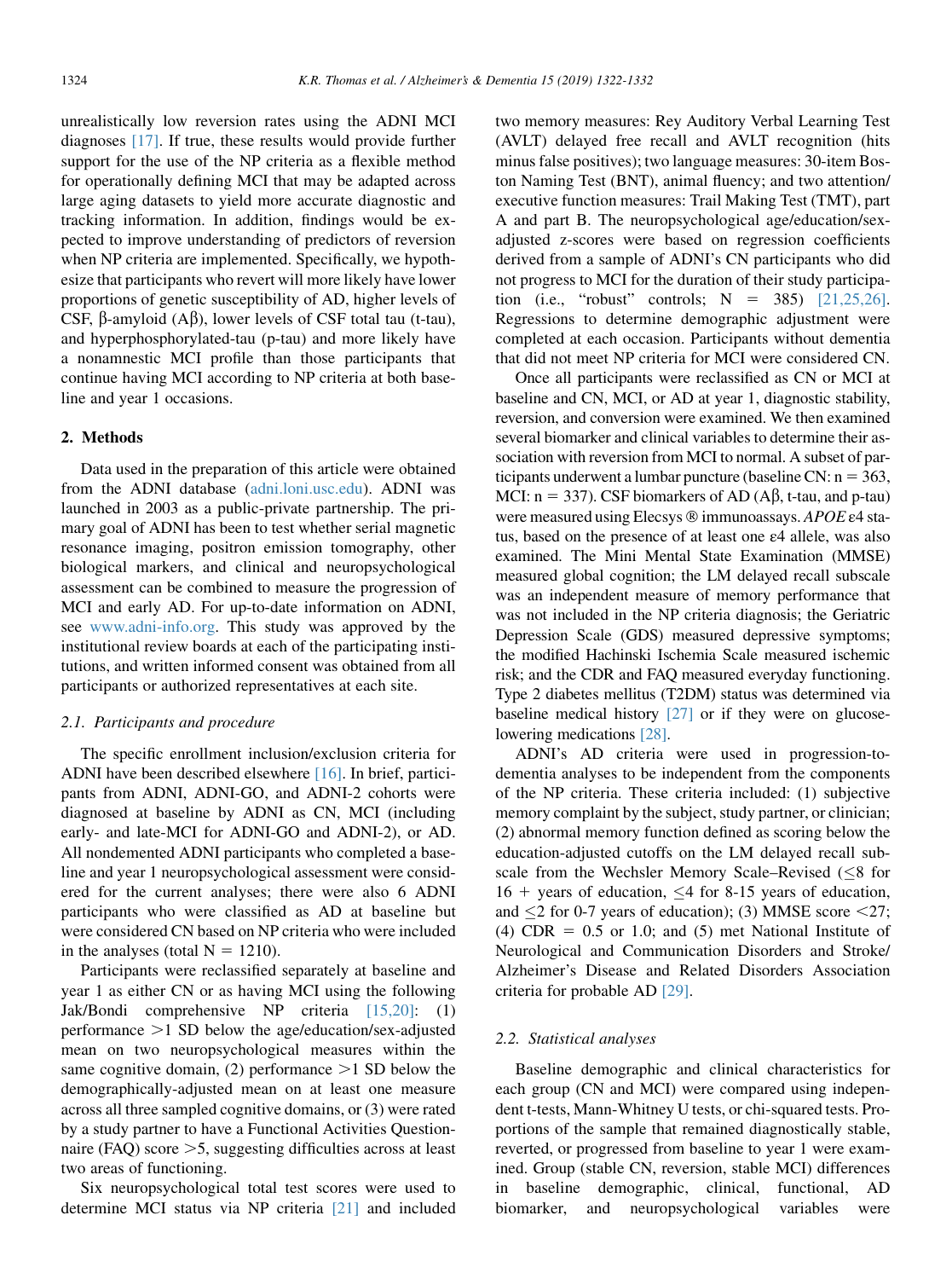unrealistically low reversion rates using the ADNI MCI diagnoses [\[17\]](#page-10-0). If true, these results would provide further support for the use of the NP criteria as a flexible method for operationally defining MCI that may be adapted across large aging datasets to yield more accurate diagnostic and tracking information. In addition, findings would be expected to improve understanding of predictors of reversion when NP criteria are implemented. Specifically, we hypothesize that participants who revert will more likely have lower proportions of genetic susceptibility of AD, higher levels of CSF,  $\beta$ -amyloid (A $\beta$ ), lower levels of CSF total tau (t-tau), and hyperphosphorylated-tau (p-tau) and more likely have a nonamnestic MCI profile than those participants that continue having MCI according to NP criteria at both baseline and year 1 occasions.

## 2. Methods

Data used in the preparation of this article were obtained from the ADNI database ([adni.loni.usc.edu\)](http://adni.loni.usc.edu). ADNI was launched in 2003 as a public-private partnership. The primary goal of ADNI has been to test whether serial magnetic resonance imaging, positron emission tomography, other biological markers, and clinical and neuropsychological assessment can be combined to measure the progression of MCI and early AD. For up-to-date information on ADNI, see [www.adni-info.org](http://www.adni-info.org). This study was approved by the institutional review boards at each of the participating institutions, and written informed consent was obtained from all participants or authorized representatives at each site.

# 2.1. Participants and procedure

The specific enrollment inclusion/exclusion criteria for ADNI have been described elsewhere [\[16\]](#page-10-0). In brief, participants from ADNI, ADNI-GO, and ADNI-2 cohorts were diagnosed at baseline by ADNI as CN, MCI (including early- and late-MCI for ADNI-GO and ADNI-2), or AD. All nondemented ADNI participants who completed a baseline and year 1 neuropsychological assessment were considered for the current analyses; there were also 6 ADNI participants who were classified as AD at baseline but were considered CN based on NP criteria who were included in the analyses (total  $N = 1210$ ).

Participants were reclassified separately at baseline and year 1 as either CN or as having MCI using the following Jak/Bondi comprehensive NP criteria [\[15,20\]:](#page-10-0) (1) performance  $>1$  SD below the age/education/sex-adjusted mean on two neuropsychological measures within the same cognitive domain, (2) performance  $>1$  SD below the demographically-adjusted mean on at least one measure across all three sampled cognitive domains, or (3) were rated by a study partner to have a Functional Activities Questionnaire (FAQ) score  $>5$ , suggesting difficulties across at least two areas of functioning.

Six neuropsychological total test scores were used to determine MCI status via NP criteria [\[21\]](#page-10-0) and included two memory measures: Rey Auditory Verbal Learning Test (AVLT) delayed free recall and AVLT recognition (hits minus false positives); two language measures: 30-item Boston Naming Test (BNT), animal fluency; and two attention/ executive function measures: Trail Making Test (TMT), part A and part B. The neuropsychological age/education/sexadjusted z-scores were based on regression coefficients derived from a sample of ADNI's CN participants who did not progress to MCI for the duration of their study participation (i.e., "robust" controls;  $N = 385$ ) [\[21,25,26\].](#page-10-0) Regressions to determine demographic adjustment were completed at each occasion. Participants without dementia that did not meet NP criteria for MCI were considered CN.

Once all participants were reclassified as CN or MCI at baseline and CN, MCI, or AD at year 1, diagnostic stability, reversion, and conversion were examined. We then examined several biomarker and clinical variables to determine their association with reversion from MCI to normal. A subset of participants underwent a lumbar puncture (baseline CN:  $n = 363$ , MCI:  $n = 337$ ). CSF biomarkers of AD (A $\beta$ , t-tau, and p-tau) were measured using Elecsys ® immunoassays. APOE ε4 status, based on the presence of at least one ε4 allele, was also examined. The Mini Mental State Examination (MMSE) measured global cognition; the LM delayed recall subscale was an independent measure of memory performance that was not included in the NP criteria diagnosis; the Geriatric Depression Scale (GDS) measured depressive symptoms; the modified Hachinski Ischemia Scale measured ischemic risk; and the CDR and FAQ measured everyday functioning. Type 2 diabetes mellitus (T2DM) status was determined via baseline medical history [\[27\]](#page-10-0) or if they were on glucoselowering medications [\[28\].](#page-10-0)

ADNI's AD criteria were used in progression-todementia analyses to be independent from the components of the NP criteria. These criteria included: (1) subjective memory complaint by the subject, study partner, or clinician; (2) abnormal memory function defined as scoring below the education-adjusted cutoffs on the LM delayed recall subscale from the Wechsler Memory Scale–Revised ( $\leq$ 8 for  $16 +$  years of education,  $\leq 4$  for 8-15 years of education, and  $\leq$  2 for 0-7 years of education); (3) MMSE score  $\leq$  27; (4)  $CDR = 0.5$  or 1.0; and (5) met National Institute of Neurological and Communication Disorders and Stroke/ Alzheimer's Disease and Related Disorders Association criteria for probable AD [\[29\]](#page-10-0).

#### 2.2. Statistical analyses

Baseline demographic and clinical characteristics for each group (CN and MCI) were compared using independent t-tests, Mann-Whitney U tests, or chi-squared tests. Proportions of the sample that remained diagnostically stable, reverted, or progressed from baseline to year 1 were examined. Group (stable CN, reversion, stable MCI) differences in baseline demographic, clinical, functional, AD biomarker, and neuropsychological variables were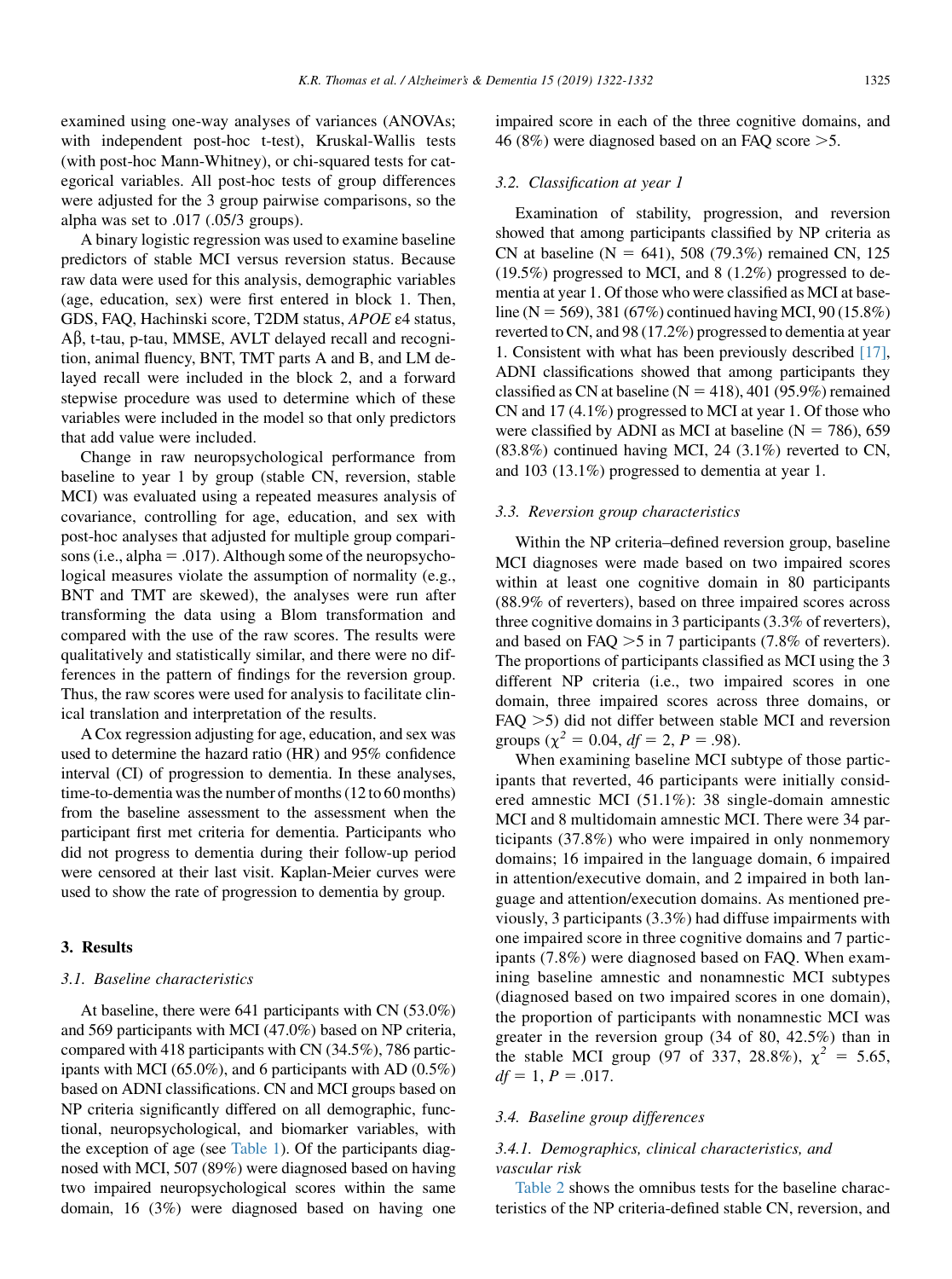examined using one-way analyses of variances (ANOVAs; with independent post-hoc t-test), Kruskal-Wallis tests (with post-hoc Mann-Whitney), or chi-squared tests for categorical variables. All post-hoc tests of group differences were adjusted for the 3 group pairwise comparisons, so the alpha was set to .017 (.05/3 groups).

A binary logistic regression was used to examine baseline predictors of stable MCI versus reversion status. Because raw data were used for this analysis, demographic variables (age, education, sex) were first entered in block 1. Then, GDS, FAQ, Hachinski score, T2DM status, APOE ε4 status,  $\Delta\beta$ , t-tau, p-tau, MMSE, AVLT delayed recall and recognition, animal fluency, BNT, TMT parts A and B, and LM delayed recall were included in the block 2, and a forward stepwise procedure was used to determine which of these variables were included in the model so that only predictors that add value were included.

Change in raw neuropsychological performance from baseline to year 1 by group (stable CN, reversion, stable MCI) was evaluated using a repeated measures analysis of covariance, controlling for age, education, and sex with post-hoc analyses that adjusted for multiple group comparisons (i.e., alpha = .017). Although some of the neuropsychological measures violate the assumption of normality (e.g., BNT and TMT are skewed), the analyses were run after transforming the data using a Blom transformation and compared with the use of the raw scores. The results were qualitatively and statistically similar, and there were no differences in the pattern of findings for the reversion group. Thus, the raw scores were used for analysis to facilitate clinical translation and interpretation of the results.

A Cox regression adjusting for age, education, and sex was used to determine the hazard ratio (HR) and 95% confidence interval (CI) of progression to dementia. In these analyses, time-to-dementia was the number of months (12 to 60 months) from the baseline assessment to the assessment when the participant first met criteria for dementia. Participants who did not progress to dementia during their follow-up period were censored at their last visit. Kaplan-Meier curves were used to show the rate of progression to dementia by group.

## 3. Results

#### 3.1. Baseline characteristics

At baseline, there were 641 participants with CN (53.0%) and 569 participants with MCI (47.0%) based on NP criteria, compared with 418 participants with CN (34.5%), 786 participants with MCI (65.0%), and 6 participants with AD (0.5%) based on ADNI classifications. CN and MCI groups based on NP criteria significantly differed on all demographic, functional, neuropsychological, and biomarker variables, with the exception of age (see [Table 1\)](#page-4-0). Of the participants diagnosed with MCI, 507 (89%) were diagnosed based on having two impaired neuropsychological scores within the same domain, 16 (3%) were diagnosed based on having one impaired score in each of the three cognitive domains, and 46 (8%) were diagnosed based on an FAQ score  $>5$ .

#### 3.2. Classification at year 1

Examination of stability, progression, and reversion showed that among participants classified by NP criteria as CN at baseline ( $N = 641$ ), 508 (79.3%) remained CN, 125 (19.5%) progressed to MCI, and 8 (1.2%) progressed to dementia at year 1. Of those who were classified as MCI at baseline (N = 569), 381 (67%) continued having MCI, 90 (15.8%) reverted to CN, and 98 (17.2%) progressed to dementia at year 1. Consistent with what has been previously described [\[17\],](#page-10-0) ADNI classifications showed that among participants they classified as CN at baseline ( $N = 418$ ), 401 (95.9%) remained CN and 17 (4.1%) progressed to MCI at year 1. Of those who were classified by ADNI as MCI at baseline ( $N = 786$ ), 659 (83.8%) continued having MCI, 24 (3.1%) reverted to CN, and 103 (13.1%) progressed to dementia at year 1.

#### 3.3. Reversion group characteristics

Within the NP criteria–defined reversion group, baseline MCI diagnoses were made based on two impaired scores within at least one cognitive domain in 80 participants (88.9% of reverters), based on three impaired scores across three cognitive domains in 3 participants (3.3% of reverters), and based on FAQ  $>$ 5 in 7 participants (7.8% of reverters). The proportions of participants classified as MCI using the 3 different NP criteria (i.e., two impaired scores in one domain, three impaired scores across three domains, or  $FAQ > 5$ ) did not differ between stable MCI and reversion groups ( $\chi^2 = 0.04$ ,  $df = 2$ ,  $P = .98$ ).

When examining baseline MCI subtype of those participants that reverted, 46 participants were initially considered amnestic MCI (51.1%): 38 single-domain amnestic MCI and 8 multidomain amnestic MCI. There were 34 participants (37.8%) who were impaired in only nonmemory domains; 16 impaired in the language domain, 6 impaired in attention/executive domain, and 2 impaired in both language and attention/execution domains. As mentioned previously, 3 participants (3.3%) had diffuse impairments with one impaired score in three cognitive domains and 7 participants (7.8%) were diagnosed based on FAQ. When examining baseline amnestic and nonamnestic MCI subtypes (diagnosed based on two impaired scores in one domain), the proportion of participants with nonamnestic MCI was greater in the reversion group (34 of 80, 42.5%) than in the stable MCI group (97 of 337, 28.8%),  $\chi^2 = 5.65$ ,  $df = 1, P = .017.$ 

# 3.4. Baseline group differences

# 3.4.1. Demographics, clinical characteristics, and vascular risk

[Table 2](#page-4-0) shows the omnibus tests for the baseline characteristics of the NP criteria-defined stable CN, reversion, and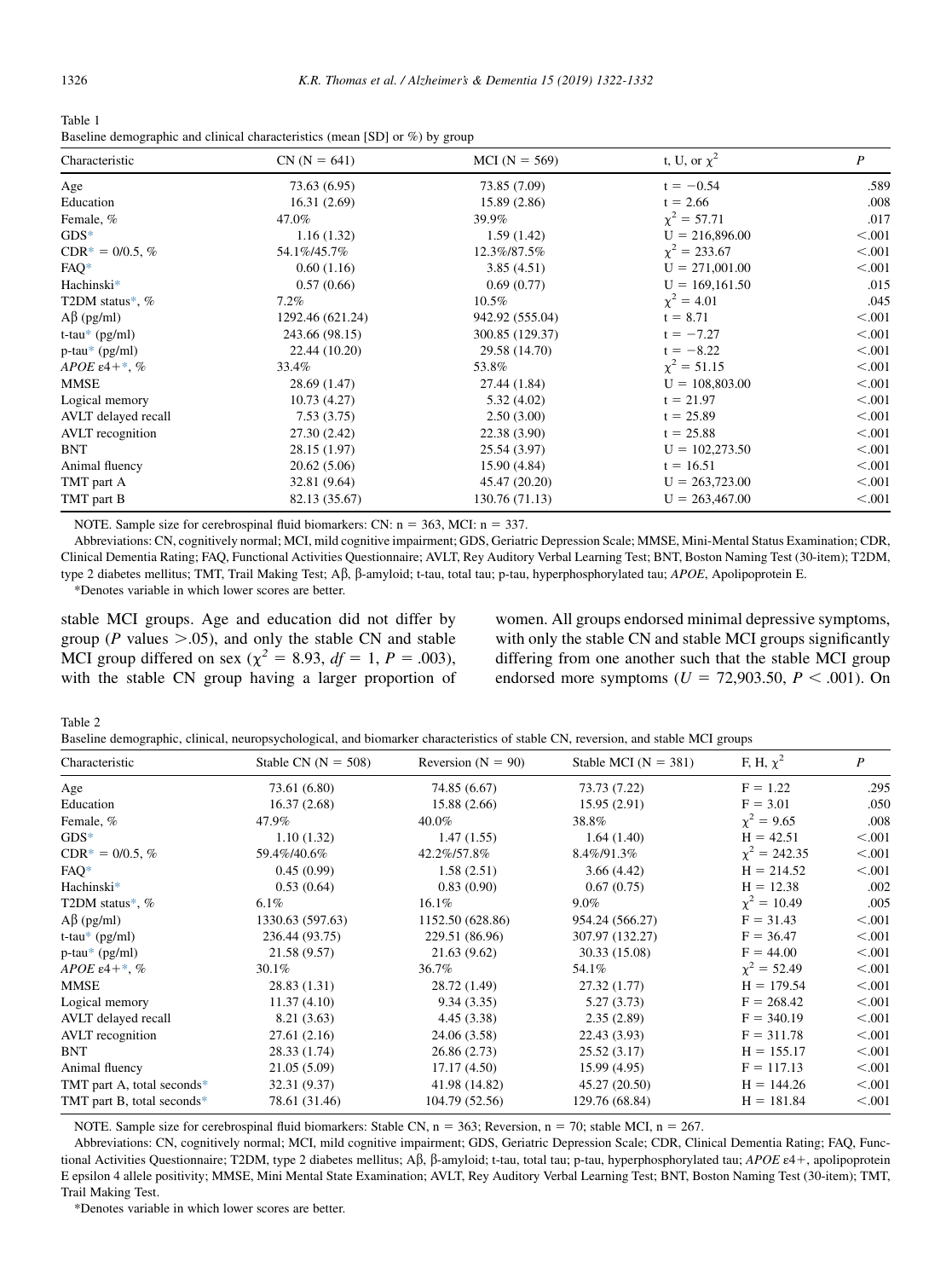<span id="page-4-0"></span>

| Table 1                                                                     |  |
|-----------------------------------------------------------------------------|--|
| Baseline demographic and clinical characteristics (mean [SD] or %) by group |  |

| Characteristic             | $CN (N = 641)$   | $MCI (N = 569)$ | t, U, or $\chi^2$ | $\boldsymbol{P}$ |
|----------------------------|------------------|-----------------|-------------------|------------------|
| Age                        | 73.63 (6.95)     | 73.85 (7.09)    | $t = -0.54$       | .589             |
| Education                  | 16.31(2.69)      | 15.89(2.86)     | $t = 2.66$        | .008             |
| Female, %                  | 47.0%            | 39.9%           | $\chi^2 = 57.71$  | .017             |
| $GDS*$                     | 1.16(1.32)       | 1.59(1.42)      | $U = 216,896.00$  | < 0.001          |
| $CDR^* = 0/0.5, %$         | 54.1%/45.7%      | 12.3%/87.5%     | $\chi^2 = 233.67$ | < 0.001          |
| $FAQ*$                     | 0.60(1.16)       | 3.85(4.51)      | $U = 271,001.00$  | < 0.001          |
| Hachinski*                 | 0.57(0.66)       | 0.69(0.77)      | $U = 169,161.50$  | .015             |
| T2DM status*, %            | $7.2\%$          | $10.5\%$        | $\chi^2 = 4.01$   | .045             |
| $A\beta$ (pg/ml)           | 1292.46 (621.24) | 942.92 (555.04) | $t = 8.71$        | < 0.001          |
| $t$ -tau* (pg/ml)          | 243.66 (98.15)   | 300.85 (129.37) | $t = -7.27$       | < 0.001          |
| $p$ -tau* ( $pg/ml$ )      | 22.44 (10.20)    | 29.58 (14.70)   | $t = -8.22$       | < 0.001          |
| APOE $\varepsilon$ 4+*, %  | 33.4%            | 53.8%           | $\chi^2 = 51.15$  | < 0.001          |
| MMSE                       | 28.69 (1.47)     | 27.44 (1.84)    | $U = 108,803.00$  | < 0.001          |
| Logical memory             | 10.73(4.27)      | 5.32(4.02)      | $t = 21.97$       | < 0.001          |
| <b>AVLT</b> delayed recall | 7.53(3.75)       | 2.50(3.00)      | $t = 25.89$       | < 0.001          |
| <b>AVLT</b> recognition    | 27.30 (2.42)     | 22.38 (3.90)    | $t = 25.88$       | < 0.001          |
| <b>BNT</b>                 | 28.15 (1.97)     | 25.54 (3.97)    | $U = 102,273.50$  | < 0.001          |
| Animal fluency             | 20.62(5.06)      | 15.90 (4.84)    | $t = 16.51$       | < 0.001          |
| TMT part A                 | 32.81 (9.64)     | 45.47 (20.20)   | $U = 263,723.00$  | < 0.001          |
| TMT part B                 | 82.13 (35.67)    | 130.76 (71.13)  | $U = 263,467.00$  | < 0.001          |

NOTE. Sample size for cerebrospinal fluid biomarkers: CN:  $n = 363$ , MCI:  $n = 337$ .

Abbreviations: CN, cognitively normal; MCI, mild cognitive impairment; GDS, Geriatric Depression Scale; MMSE, Mini-Mental Status Examination; CDR, Clinical Dementia Rating; FAQ, Functional Activities Questionnaire; AVLT, Rey Auditory Verbal Learning Test; BNT, Boston Naming Test (30-item); T2DM, type 2 diabetes mellitus; TMT, Trail Making Test; Aβ, β-amyloid; t-tau, total tau; p-tau, hyperphosphorylated tau; APOE, Apolipoprotein E.

\*Denotes variable in which lower scores are better.

stable MCI groups. Age and education did not differ by group ( $P$  values  $> 0.05$ ), and only the stable CN and stable MCI group differed on sex ( $\chi^2 = 8.93$ ,  $df = 1$ ,  $P = .003$ ), with the stable CN group having a larger proportion of women. All groups endorsed minimal depressive symptoms, with only the stable CN and stable MCI groups significantly differing from one another such that the stable MCI group endorsed more symptoms ( $U = 72,903.50, P < .001$ ). On

Table 2

| Baseline demographic, clinical, neuropsychological, and biomarker characteristics of stable CN, reversion, and stable MCI groups |  |  |  |  |  |  |  |  |
|----------------------------------------------------------------------------------------------------------------------------------|--|--|--|--|--|--|--|--|
|----------------------------------------------------------------------------------------------------------------------------------|--|--|--|--|--|--|--|--|

| Characteristic             | Stable CN $(N = 508)$ | Reversion ( $N = 90$ ) | Stable MCI ( $N = 381$ ) | F, H, $\chi^2$      | $\boldsymbol{P}$ |
|----------------------------|-----------------------|------------------------|--------------------------|---------------------|------------------|
| Age                        | 73.61 (6.80)          | 74.85 (6.67)           | 73.73 (7.22)             | $F = 1.22$          | .295             |
| Education                  | 16.37(2.68)           | 15.88 (2.66)           | 15.95(2.91)              | $F = 3.01$          | .050             |
| Female, %                  | 47.9%                 | 40.0%                  | 38.8%                    | $\gamma^2 = 9.65$   | .008             |
| $GDS*$                     | 1.10(1.32)            | 1.47(1.55)             | 1.64(1.40)               | $H = 42.51$         | < 0.001          |
| $CDR^* = 0/0.5, %$         | 59.4%/40.6%           | 42.2%/57.8%            | 8.4%/91.3%               | $\gamma^2 = 242.35$ | < 0.001          |
| $FAQ*$                     | 0.45(0.99)            | 1.58(2.51)             | 3.66(4.42)               | $H = 214.52$        | < 0.001          |
| Hachinski*                 | 0.53(0.64)            | 0.83(0.90)             | 0.67(0.75)               | $H = 12.38$         | .002             |
| T2DM status*, $%$          | $6.1\%$               | 16.1%                  | $9.0\%$                  | $x^2 = 10.49$       | .005             |
| $A\beta$ (pg/ml)           | 1330.63 (597.63)      | 1152.50 (628.86)       | 954.24 (566.27)          | $F = 31.43$         | < 0.001          |
| $t$ -tau* (pg/ml)          | 236.44 (93.75)        | 229.51 (86.96)         | 307.97 (132.27)          | $F = 36.47$         | < 0.001          |
| $p$ -tau* ( $pg/ml$ )      | 21.58 (9.57)          | 21.63(9.62)            | 30.33 (15.08)            | $F = 44.00$         | < 0.001          |
| APOE $\varepsilon$ 4+*, %  | $30.1\%$              | 36.7%                  | 54.1%                    | $\chi^2 = 52.49$    | < 0.001          |
| MMSE                       | 28.83 (1.31)          | 28.72 (1.49)           | 27.32(1.77)              | $H = 179.54$        | < 0.001          |
| Logical memory             | 11.37(4.10)           | 9.34(3.35)             | 5.27(3.73)               | $F = 268.42$        | < 0.001          |
| AVLT delayed recall        | 8.21 (3.63)           | 4.45(3.38)             | 2.35(2.89)               | $F = 340.19$        | < 0.001          |
| <b>AVLT</b> recognition    | 27.61(2.16)           | 24.06 (3.58)           | 22.43 (3.93)             | $F = 311.78$        | < 0.001          |
| <b>BNT</b>                 | 28.33 (1.74)          | 26.86 (2.73)           | 25.52(3.17)              | $H = 155.17$        | < 0.001          |
| Animal fluency             | 21.05(5.09)           | 17.17(4.50)            | 15.99(4.95)              | $F = 117.13$        | < 0.001          |
| TMT part A, total seconds* | 32.31 (9.37)          | 41.98 (14.82)          | 45.27 (20.50)            | $H = 144.26$        | < 0.001          |
| TMT part B, total seconds* | 78.61 (31.46)         | 104.79 (52.56)         | 129.76 (68.84)           | $H = 181.84$        | < 0.001          |

NOTE. Sample size for cerebrospinal fluid biomarkers: Stable CN,  $n = 363$ ; Reversion,  $n = 70$ ; stable MCI,  $n = 267$ .

Abbreviations: CN, cognitively normal; MCI, mild cognitive impairment; GDS, Geriatric Depression Scale; CDR, Clinical Dementia Rating; FAQ, Functional Activities Questionnaire; T2DM, type 2 diabetes mellitus; Aβ, β-amyloid; t-tau, total tau; p-tau, hyperphosphorylated tau; APOE ε4+, apolipoprotein E epsilon 4 allele positivity; MMSE, Mini Mental State Examination; AVLT, Rey Auditory Verbal Learning Test; BNT, Boston Naming Test (30-item); TMT, Trail Making Test.

\*Denotes variable in which lower scores are better.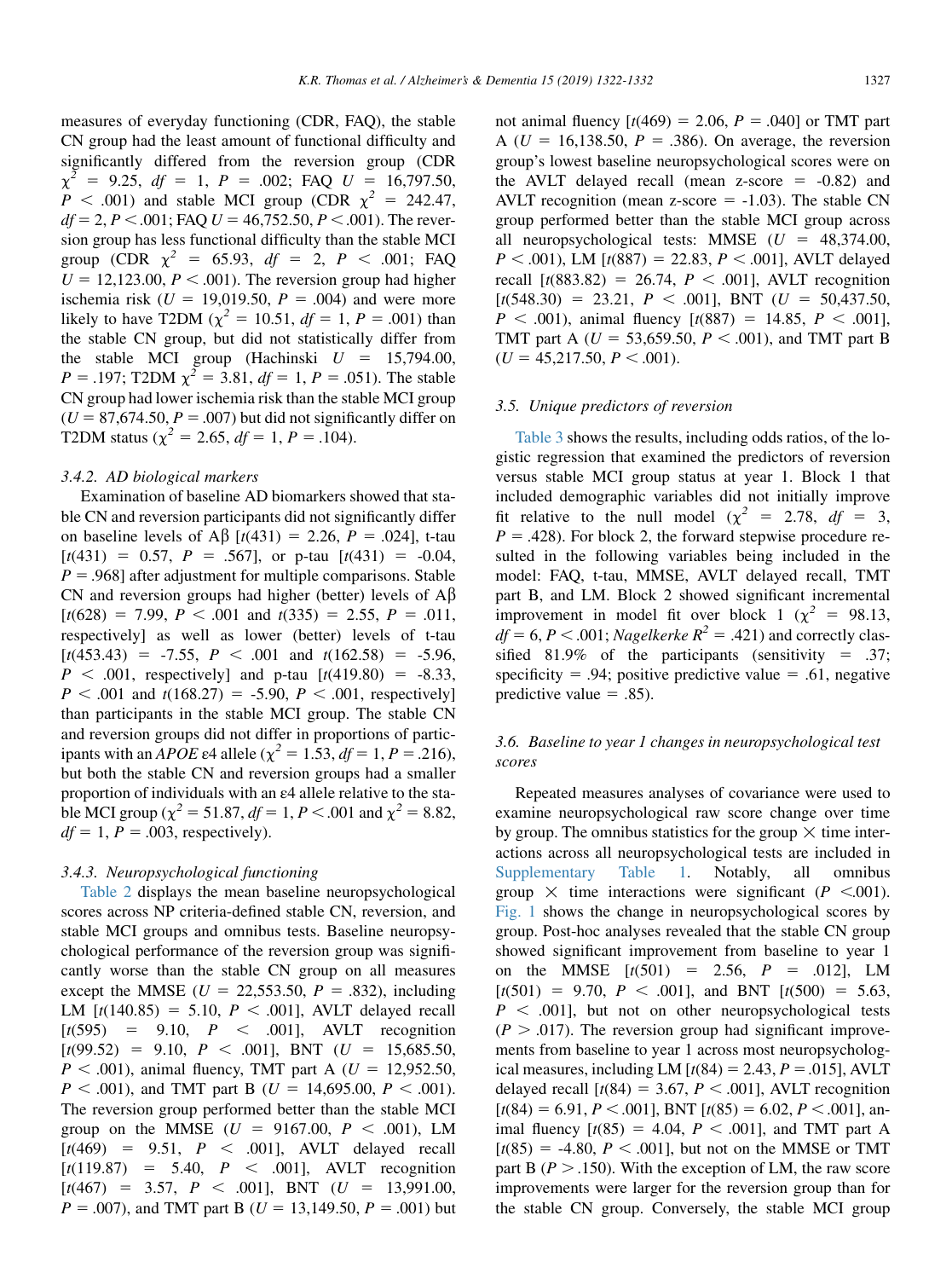measures of everyday functioning (CDR, FAQ), the stable CN group had the least amount of functional difficulty and significantly differed from the reversion group (CDR  $\chi^2$  = 9.25, df = 1, P = .002; FAQ U = 16,797.50,  $P < .001$ ) and stable MCI group (CDR  $\chi^2 = 242.47$ ,  $df = 2, P < .001$ ; FAQ  $U = 46,752.50, P < .001$ ). The reversion group has less functional difficulty than the stable MCI group (CDR  $\chi^2 = 65.93$ ,  $df = 2$ ,  $P < .001$ ; FAQ  $U = 12,123.00, P < .001$ . The reversion group had higher ischemia risk ( $U = 19,019.50$ ,  $P = .004$ ) and were more likely to have T2DM ( $\chi^2 = 10.51$ ,  $df = 1$ ,  $P = .001$ ) than the stable CN group, but did not statistically differ from the stable MCI group (Hachinski  $U = 15,794.00$ ,  $P = .197$ ; T2DM  $\chi^2 = 3.81$ ,  $df = 1$ ,  $P = .051$ ). The stable CN group had lower ischemia risk than the stable MCI group  $(U = 87,674.50, P = .007)$  but did not significantly differ on T2DM status ( $\chi^2 = 2.65$ ,  $df = 1$ ,  $P = .104$ ).

#### 3.4.2. AD biological markers

Examination of baseline AD biomarkers showed that stable CN and reversion participants did not significantly differ on baseline levels of A $\beta$  [t(431) = 2.26, P = .024], t-tau  $[t(431) = 0.57, P = .567]$ , or p-tau  $[t(431) = -0.04,$  $P = .968$ ] after adjustment for multiple comparisons. Stable CN and reversion groups had higher (better) levels of  $\overline{AB}$  $[t(628) = 7.99, P < .001 \text{ and } t(335) = 2.55, P = .011,$ respectively] as well as lower (better) levels of t-tau  $[t(453.43) = -7.55, P < .001 \text{ and } t(162.58) = -5.96,$  $P < .001$ , respectively] and p-tau  $[t(419.80) = .8.33]$ ,  $P < .001$  and  $t(168.27) = .5.90, P < .001$ , respectively] than participants in the stable MCI group. The stable CN and reversion groups did not differ in proportions of participants with an *APOE*  $\varepsilon$ 4 allele ( $\chi^2 = 1.53$ ,  $df = 1$ ,  $P = .216$ ), but both the stable CN and reversion groups had a smaller proportion of individuals with an  $\varepsilon$ 4 allele relative to the stable MCI group ( $\chi^2 = 51.87$ ,  $df = 1$ ,  $P < .001$  and  $\chi^2 = 8.82$ ,  $df = 1, P = .003$ , respectively).

#### 3.4.3. Neuropsychological functioning

[Table 2](#page-4-0) displays the mean baseline neuropsychological scores across NP criteria-defined stable CN, reversion, and stable MCI groups and omnibus tests. Baseline neuropsychological performance of the reversion group was significantly worse than the stable CN group on all measures except the MMSE ( $U = 22,553.50, P = .832$ ), including LM  $[t(140.85) = 5.10, P < .001]$ , AVLT delayed recall  $[t(595) = 9.10, P < .001]$ , AVLT recognition  $[t(99.52) = 9.10, P < .001]$ , BNT (U = 15,685.50,  $P < .001$ ), animal fluency, TMT part A ( $U = 12,952.50$ ,  $P < .001$ ), and TMT part B ( $U = 14,695.00, P < .001$ ). The reversion group performed better than the stable MCI group on the MMSE  $(U = 9167.00, P < .001)$ , LM  $[t(469) = 9.51, P < .001]$ , AVLT delayed recall  $[t(119.87) = 5.40, P < .001]$ , AVLT recognition  $[t(467) = 3.57, P < .001]$ , BNT (U = 13,991.00,  $P = .007$ , and TMT part B ( $U = 13,149.50, P = .001$ ) but not animal fluency  $[t(469) = 2.06, P = .040]$  or TMT part A ( $U = 16,138.50, P = .386$ ). On average, the reversion group's lowest baseline neuropsychological scores were on the AVLT delayed recall (mean z-score  $= -0.82$ ) and AVLT recognition (mean z-score  $= -1.03$ ). The stable CN group performed better than the stable MCI group across all neuropsychological tests: MMSE  $(U = 48,374.00,$  $P < .001$ ), LM [t(887) = 22.83, P < .001], AVLT delayed recall  $[t(883.82) = 26.74, P < .001]$ , AVLT recognition  $[t(548.30) = 23.21, P < .001]$ , BNT (U = 50,437.50,  $P < .001$ , animal fluency  $[t(887) = 14.85, P < .001]$ , TMT part A ( $U = 53,659.50, P < .001$ ), and TMT part B  $(U = 45,217.50, P < .001).$ 

#### 3.5. Unique predictors of reversion

[Table 3](#page-6-0) shows the results, including odds ratios, of the logistic regression that examined the predictors of reversion versus stable MCI group status at year 1. Block 1 that included demographic variables did not initially improve fit relative to the null model ( $\chi^2$  = 2.78, df = 3,  $P = .428$ ). For block 2, the forward stepwise procedure resulted in the following variables being included in the model: FAQ, t-tau, MMSE, AVLT delayed recall, TMT part B, and LM. Block 2 showed significant incremental improvement in model fit over block 1 ( $\chi^2$  = 98.13,  $df = 6$ ,  $P < .001$ ; Nagelkerke  $R^2 = .421$ ) and correctly classified 81.9% of the participants (sensitivity  $= .37$ ; specificity = .94; positive predictive value = .61, negative predictive value  $= .85$ ).

# 3.6. Baseline to year 1 changes in neuropsychological test scores

Repeated measures analyses of covariance were used to examine neuropsychological raw score change over time by group. The omnibus statistics for the group  $\times$  time interactions across all neuropsychological tests are included in [Supplementary Table 1.](#page-10-0) Notably, all omnibus group  $\times$  time interactions were significant ( $P < .001$ ). [Fig. 1](#page-6-0) shows the change in neuropsychological scores by group. Post-hoc analyses revealed that the stable CN group showed significant improvement from baseline to year 1 on the MMSE  $[t(501) = 2.56, P = .012]$ , LM  $[t(501) = 9.70, P < .001]$ , and BNT  $[t(500) = 5.63]$ ,  $P < .001$ , but not on other neuropsychological tests  $(P > .017)$ . The reversion group had significant improvements from baseline to year 1 across most neuropsychological measures, including LM  $[t(84) = 2.43, P = .015]$ , AVLT delayed recall  $[t(84) = 3.67, P < .001]$ , AVLT recognition  $[t(84) = 6.91, P < .001]$ , BNT  $[t(85) = 6.02, P < .001]$ , animal fluency  $[t(85) = 4.04, P < .001]$ , and TMT part A  $[t(85) = -4.80, P < .001]$ , but not on the MMSE or TMT part B ( $P > .150$ ). With the exception of LM, the raw score improvements were larger for the reversion group than for the stable CN group. Conversely, the stable MCI group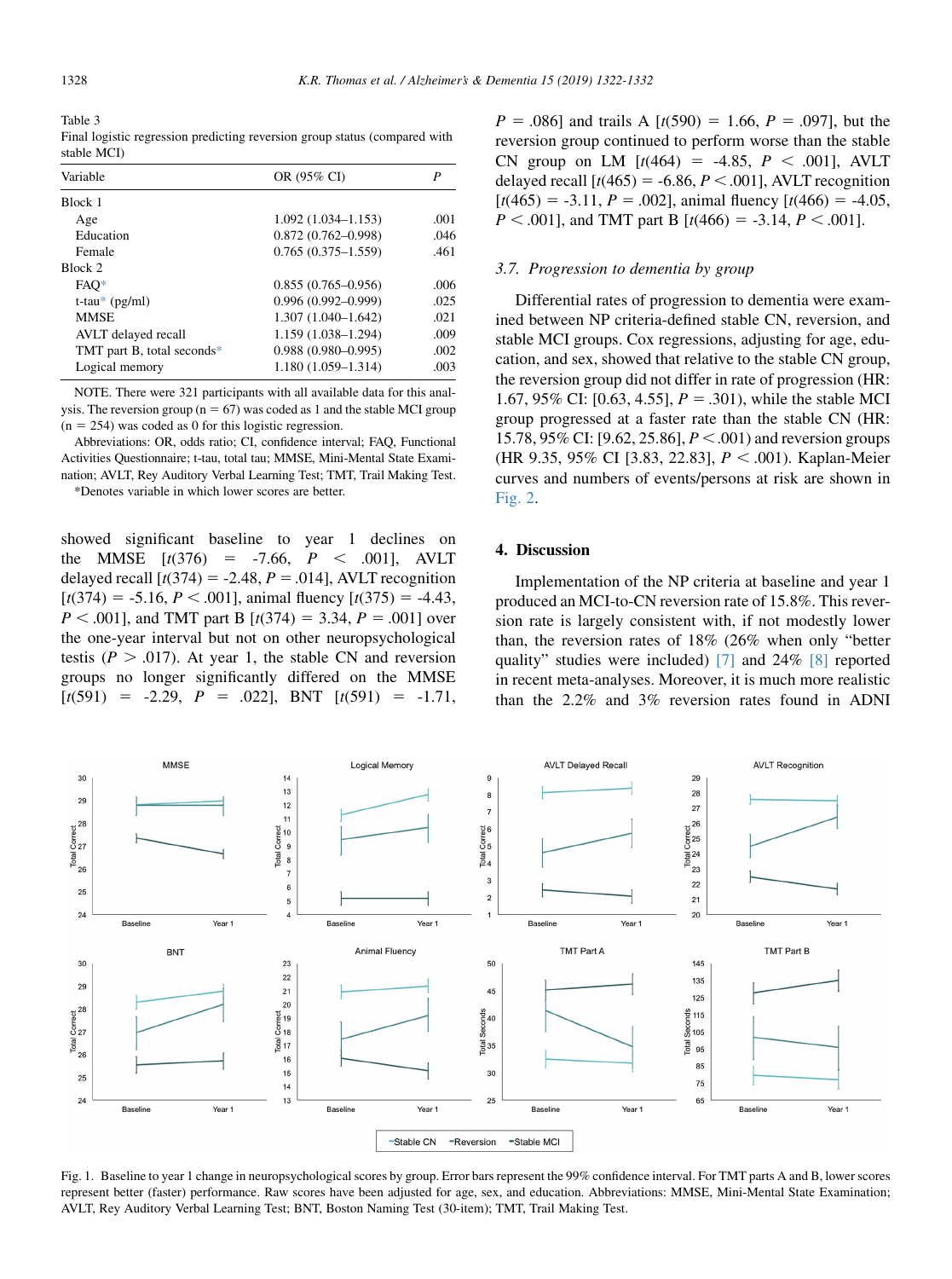<span id="page-6-0"></span>Table 3 Final logistic regression predicting reversion group status (compared with stable MCI)

| Variable                   | OR (95% CI)            | P    |
|----------------------------|------------------------|------|
| Block 1                    |                        |      |
| Age                        | $1.092(1.034 - 1.153)$ | .001 |
| Education                  | $0.872(0.762 - 0.998)$ | .046 |
| Female                     | $0.765(0.375-1.559)$   | .461 |
| Block 2                    |                        |      |
| FAO*                       | $0.855(0.765 - 0.956)$ | .006 |
| t-tau* $(pg/ml)$           | $0.996(0.992 - 0.999)$ | .025 |
| <b>MMSE</b>                | $1.307(1.040-1.642)$   | .021 |
| AVLT delayed recall        | 1.159 (1.038-1.294)    | .009 |
| TMT part B, total seconds* | $0.988(0.980 - 0.995)$ | .002 |
| Logical memory             | 1.180 (1.059-1.314)    | .003 |
|                            |                        |      |

NOTE. There were 321 participants with all available data for this analysis. The reversion group ( $n = 67$ ) was coded as 1 and the stable MCI group  $(n = 254)$  was coded as 0 for this logistic regression.

Abbreviations: OR, odds ratio; CI, confidence interval; FAQ, Functional Activities Questionnaire; t-tau, total tau; MMSE, Mini-Mental State Examination; AVLT, Rey Auditory Verbal Learning Test; TMT, Trail Making Test. \*Denotes variable in which lower scores are better.

showed significant baseline to year 1 declines on the MMSE  $[t(376) = -7.66, P < .001]$ , AVLT delayed recall  $[t(374) = -2.48, P = .014]$ , AVLT recognition  $[t(374) = -5.16, P < .001]$ , animal fluency  $[t(375) = -4.43]$ ,  $P < .001$ ], and TMT part B  $[t(374) = 3.34, P = .001]$  over the one-year interval but not on other neuropsychological testis ( $P > .017$ ). At year 1, the stable CN and reversion groups no longer significantly differed on the MMSE  $[t(591) = -2.29, P = .022], BNT [t(591) = -1.71,$   $P = .086$ ] and trails A [t(590) = 1.66, P = .097], but the reversion group continued to perform worse than the stable CN group on LM  $[t(464) = -4.85, P < .001]$ , AVLT delayed recall  $[t(465) = -6.86, P < .001]$ , AVLT recognition  $[t(465) = -3.11, P = .002]$ , animal fluency  $[t(466) = -4.05]$  $P < .001$ ], and TMT part B [t(466) = -3.14, P < .001].

# 3.7. Progression to dementia by group

Differential rates of progression to dementia were examined between NP criteria-defined stable CN, reversion, and stable MCI groups. Cox regressions, adjusting for age, education, and sex, showed that relative to the stable CN group, the reversion group did not differ in rate of progression (HR: 1.67, 95% CI: [0.63, 4.55],  $P = .301$ ), while the stable MCI group progressed at a faster rate than the stable CN (HR: 15.78, 95% CI: [9.62, 25.86],  $P < .001$  and reversion groups (HR 9.35, 95% CI [3.83, 22.83],  $P < .001$ ). Kaplan-Meier curves and numbers of events/persons at risk are shown in [Fig. 2.](#page-7-0)

# 4. Discussion

Implementation of the NP criteria at baseline and year 1 produced an MCI-to-CN reversion rate of 15.8%. This reversion rate is largely consistent with, if not modestly lower than, the reversion rates of 18% (26% when only "better quality" studies were included) [\[7\]](#page-10-0) and 24% [\[8\]](#page-10-0) reported in recent meta-analyses. Moreover, it is much more realistic than the 2.2% and 3% reversion rates found in ADNI



Fig. 1. Baseline to year 1 change in neuropsychological scores by group. Error bars represent the 99% confidence interval. For TMT parts A and B, lower scores represent better (faster) performance. Raw scores have been adjusted for age, sex, and education. Abbreviations: MMSE, Mini-Mental State Examination; AVLT, Rey Auditory Verbal Learning Test; BNT, Boston Naming Test (30-item); TMT, Trail Making Test.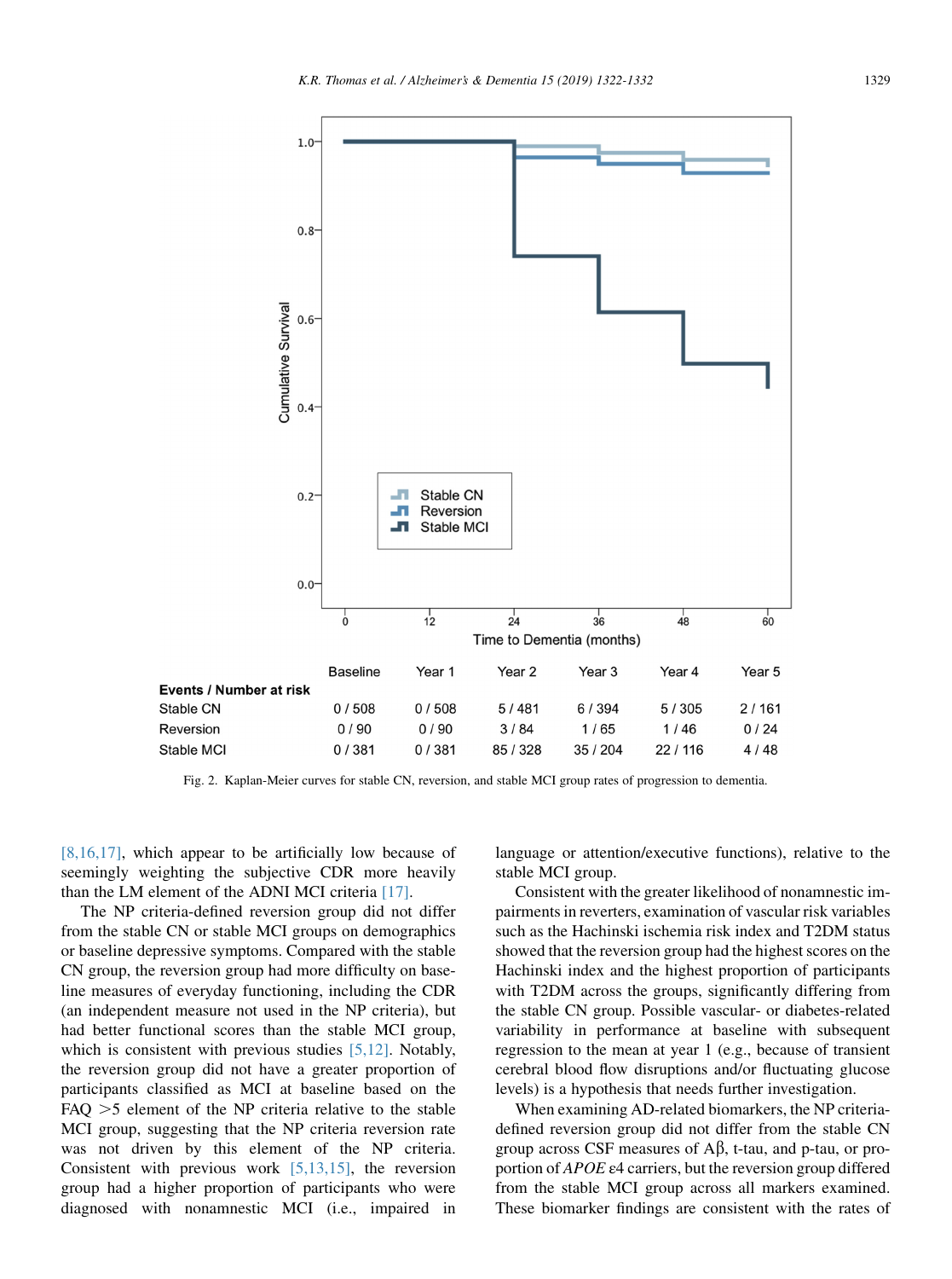<span id="page-7-0"></span>

Fig. 2. Kaplan-Meier curves for stable CN, reversion, and stable MCI group rates of progression to dementia.

[\[8,16,17\],](#page-10-0) which appear to be artificially low because of seemingly weighting the subjective CDR more heavily than the LM element of the ADNI MCI criteria [\[17\].](#page-10-0)

The NP criteria-defined reversion group did not differ from the stable CN or stable MCI groups on demographics or baseline depressive symptoms. Compared with the stable CN group, the reversion group had more difficulty on baseline measures of everyday functioning, including the CDR (an independent measure not used in the NP criteria), but had better functional scores than the stable MCI group, which is consistent with previous studies [\[5,12\].](#page-10-0) Notably, the reversion group did not have a greater proportion of participants classified as MCI at baseline based on the  $FAQ > 5$  element of the NP criteria relative to the stable MCI group, suggesting that the NP criteria reversion rate was not driven by this element of the NP criteria. Consistent with previous work  $[5,13,15]$ , the reversion group had a higher proportion of participants who were diagnosed with nonamnestic MCI (i.e., impaired in language or attention/executive functions), relative to the stable MCI group.

Consistent with the greater likelihood of nonamnestic impairments in reverters, examination of vascular risk variables such as the Hachinski ischemia risk index and T2DM status showed that the reversion group had the highest scores on the Hachinski index and the highest proportion of participants with T2DM across the groups, significantly differing from the stable CN group. Possible vascular- or diabetes-related variability in performance at baseline with subsequent regression to the mean at year 1 (e.g., because of transient cerebral blood flow disruptions and/or fluctuating glucose levels) is a hypothesis that needs further investigation.

When examining AD-related biomarkers, the NP criteriadefined reversion group did not differ from the stable CN group across CSF measures of  $\mathbf{A}\beta$ , t-tau, and p-tau, or proportion of APOE ε4 carriers, but the reversion group differed from the stable MCI group across all markers examined. These biomarker findings are consistent with the rates of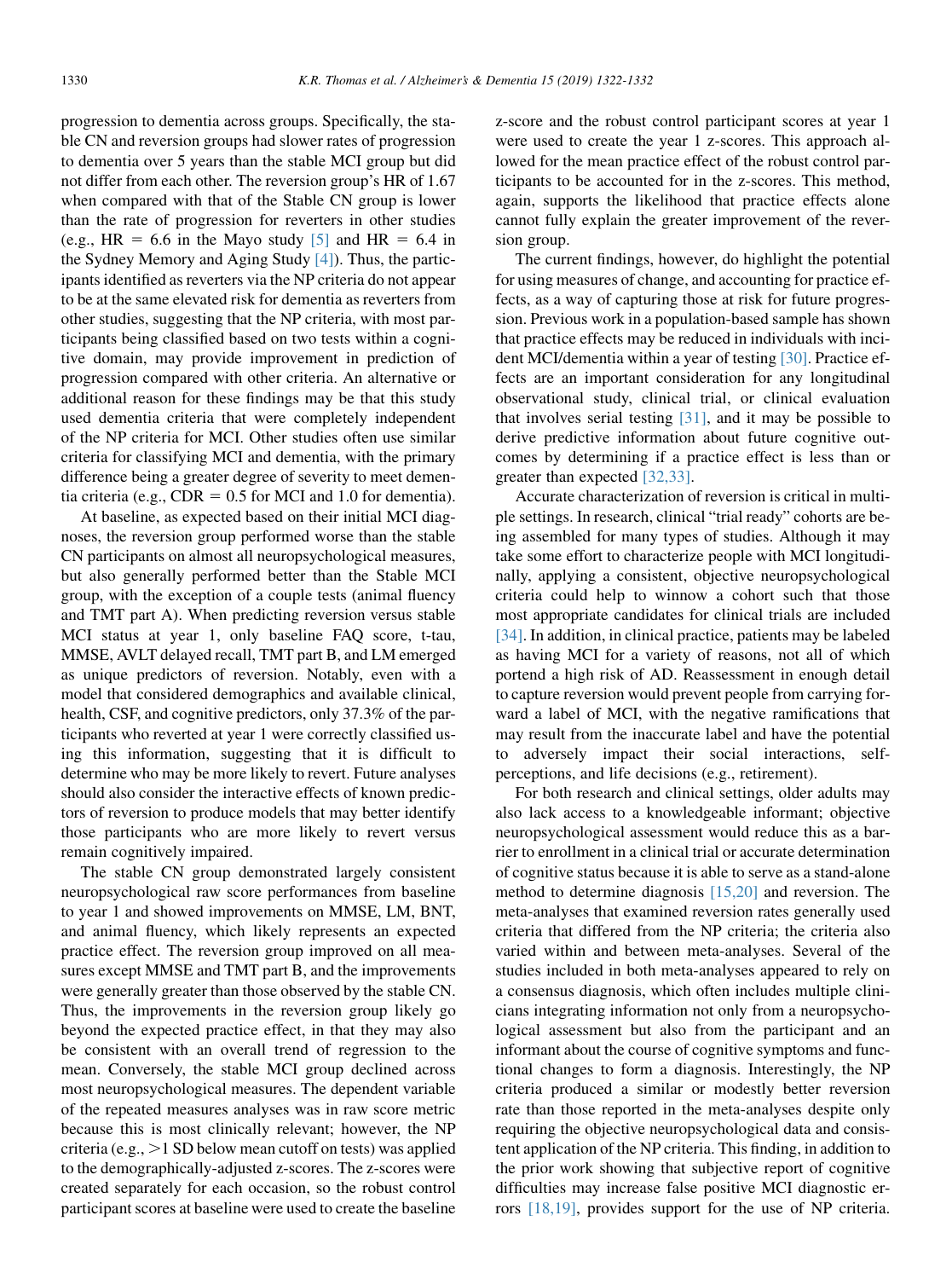progression to dementia across groups. Specifically, the stable CN and reversion groups had slower rates of progression to dementia over 5 years than the stable MCI group but did not differ from each other. The reversion group's HR of 1.67 when compared with that of the Stable CN group is lower than the rate of progression for reverters in other studies (e.g., HR = 6.6 in the Mayo study  $[5]$  and HR = 6.4 in the Sydney Memory and Aging Study [\[4\]](#page-10-0)). Thus, the participants identified as reverters via the NP criteria do not appear to be at the same elevated risk for dementia as reverters from other studies, suggesting that the NP criteria, with most participants being classified based on two tests within a cognitive domain, may provide improvement in prediction of progression compared with other criteria. An alternative or additional reason for these findings may be that this study used dementia criteria that were completely independent of the NP criteria for MCI. Other studies often use similar criteria for classifying MCI and dementia, with the primary difference being a greater degree of severity to meet dementia criteria (e.g.,  $CDR = 0.5$  for MCI and 1.0 for dementia).

At baseline, as expected based on their initial MCI diagnoses, the reversion group performed worse than the stable CN participants on almost all neuropsychological measures, but also generally performed better than the Stable MCI group, with the exception of a couple tests (animal fluency and TMT part A). When predicting reversion versus stable MCI status at year 1, only baseline FAQ score, t-tau, MMSE, AVLT delayed recall, TMT part B, and LM emerged as unique predictors of reversion. Notably, even with a model that considered demographics and available clinical, health, CSF, and cognitive predictors, only 37.3% of the participants who reverted at year 1 were correctly classified using this information, suggesting that it is difficult to determine who may be more likely to revert. Future analyses should also consider the interactive effects of known predictors of reversion to produce models that may better identify those participants who are more likely to revert versus remain cognitively impaired.

The stable CN group demonstrated largely consistent neuropsychological raw score performances from baseline to year 1 and showed improvements on MMSE, LM, BNT, and animal fluency, which likely represents an expected practice effect. The reversion group improved on all measures except MMSE and TMT part B, and the improvements were generally greater than those observed by the stable CN. Thus, the improvements in the reversion group likely go beyond the expected practice effect, in that they may also be consistent with an overall trend of regression to the mean. Conversely, the stable MCI group declined across most neuropsychological measures. The dependent variable of the repeated measures analyses was in raw score metric because this is most clinically relevant; however, the NP criteria (e.g.,  $>1$  SD below mean cutoff on tests) was applied to the demographically-adjusted z-scores. The z-scores were created separately for each occasion, so the robust control participant scores at baseline were used to create the baseline z-score and the robust control participant scores at year 1 were used to create the year 1 z-scores. This approach allowed for the mean practice effect of the robust control participants to be accounted for in the z-scores. This method, again, supports the likelihood that practice effects alone cannot fully explain the greater improvement of the reversion group.

The current findings, however, do highlight the potential for using measures of change, and accounting for practice effects, as a way of capturing those at risk for future progression. Previous work in a population-based sample has shown that practice effects may be reduced in individuals with incident MCI/dementia within a year of testing [\[30\].](#page-10-0) Practice effects are an important consideration for any longitudinal observational study, clinical trial, or clinical evaluation that involves serial testing  $[31]$ , and it may be possible to derive predictive information about future cognitive outcomes by determining if a practice effect is less than or greater than expected [\[32,33\]](#page-10-0).

Accurate characterization of reversion is critical in multiple settings. In research, clinical "trial ready" cohorts are being assembled for many types of studies. Although it may take some effort to characterize people with MCI longitudinally, applying a consistent, objective neuropsychological criteria could help to winnow a cohort such that those most appropriate candidates for clinical trials are included [\[34\].](#page-10-0) In addition, in clinical practice, patients may be labeled as having MCI for a variety of reasons, not all of which portend a high risk of AD. Reassessment in enough detail to capture reversion would prevent people from carrying forward a label of MCI, with the negative ramifications that may result from the inaccurate label and have the potential to adversely impact their social interactions, selfperceptions, and life decisions (e.g., retirement).

For both research and clinical settings, older adults may also lack access to a knowledgeable informant; objective neuropsychological assessment would reduce this as a barrier to enrollment in a clinical trial or accurate determination of cognitive status because it is able to serve as a stand-alone method to determine diagnosis [\[15,20\]](#page-10-0) and reversion. The meta-analyses that examined reversion rates generally used criteria that differed from the NP criteria; the criteria also varied within and between meta-analyses. Several of the studies included in both meta-analyses appeared to rely on a consensus diagnosis, which often includes multiple clinicians integrating information not only from a neuropsychological assessment but also from the participant and an informant about the course of cognitive symptoms and functional changes to form a diagnosis. Interestingly, the NP criteria produced a similar or modestly better reversion rate than those reported in the meta-analyses despite only requiring the objective neuropsychological data and consistent application of the NP criteria. This finding, in addition to the prior work showing that subjective report of cognitive difficulties may increase false positive MCI diagnostic errors [\[18,19\],](#page-10-0) provides support for the use of NP criteria.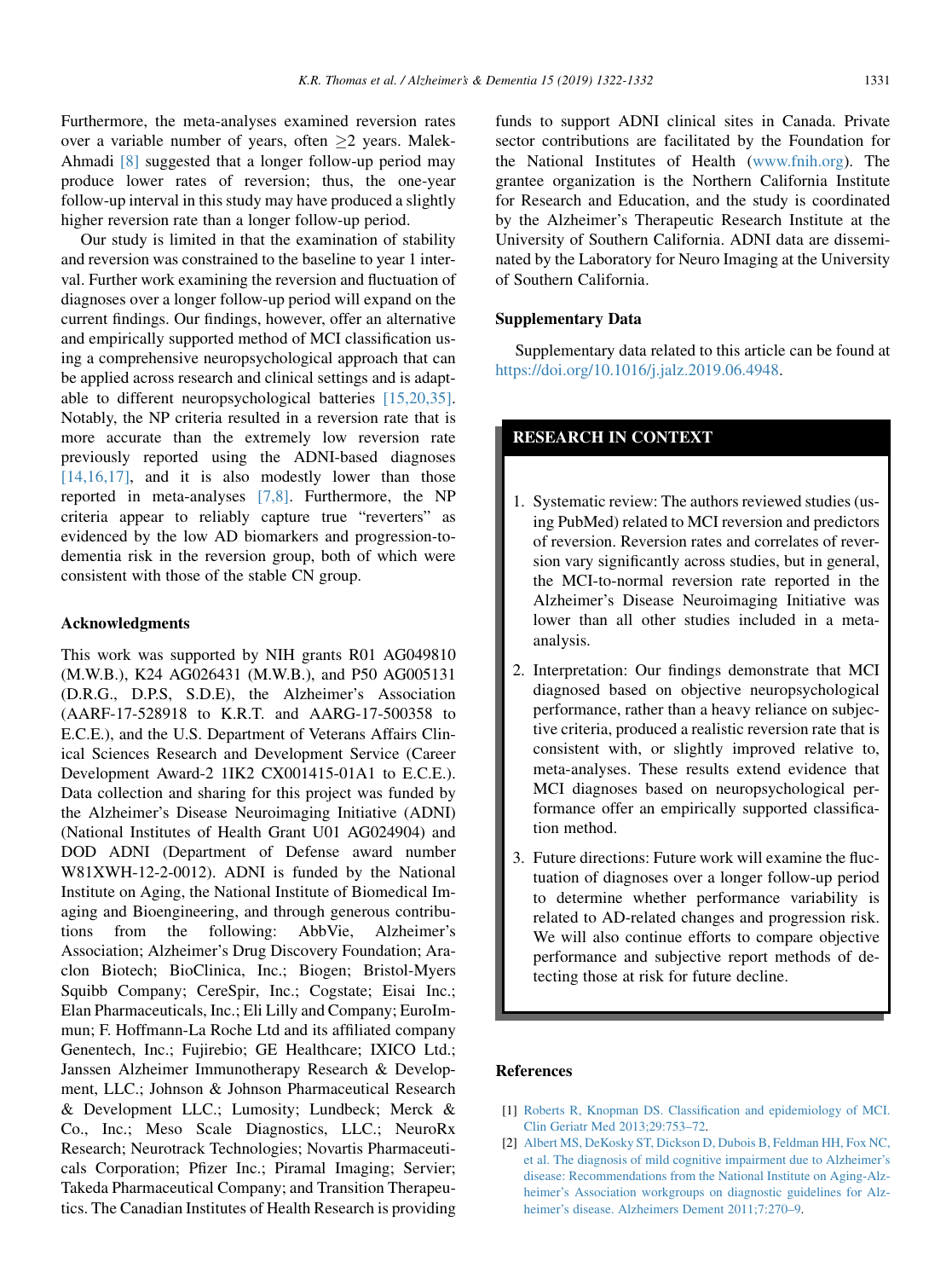<span id="page-9-0"></span>Furthermore, the meta-analyses examined reversion rates over a variable number of years, often  $\geq 2$  years. Malek-Ahmadi [\[8\]](#page-10-0) suggested that a longer follow-up period may produce lower rates of reversion; thus, the one-year follow-up interval in this study may have produced a slightly higher reversion rate than a longer follow-up period.

Our study is limited in that the examination of stability and reversion was constrained to the baseline to year 1 interval. Further work examining the reversion and fluctuation of diagnoses over a longer follow-up period will expand on the current findings. Our findings, however, offer an alternative and empirically supported method of MCI classification using a comprehensive neuropsychological approach that can be applied across research and clinical settings and is adaptable to different neuropsychological batteries [\[15,20,35\].](#page-10-0) Notably, the NP criteria resulted in a reversion rate that is more accurate than the extremely low reversion rate previously reported using the ADNI-based diagnoses  $[14,16,17]$ , and it is also modestly lower than those reported in meta-analyses [\[7,8\]](#page-10-0). Furthermore, the NP criteria appear to reliably capture true "reverters" as evidenced by the low AD biomarkers and progression-todementia risk in the reversion group, both of which were consistent with those of the stable CN group.

## Acknowledgments

This work was supported by NIH grants R01 AG049810 (M.W.B.), K24 AG026431 (M.W.B.), and P50 AG005131 (D.R.G., D.P.S, S.D.E), the Alzheimer's Association (AARF-17-528918 to K.R.T. and AARG-17-500358 to E.C.E.), and the U.S. Department of Veterans Affairs Clinical Sciences Research and Development Service (Career Development Award-2 1IK2 CX001415-01A1 to E.C.E.). Data collection and sharing for this project was funded by the Alzheimer's Disease Neuroimaging Initiative (ADNI) (National Institutes of Health Grant U01 AG024904) and DOD ADNI (Department of Defense award number W81XWH-12-2-0012). ADNI is funded by the National Institute on Aging, the National Institute of Biomedical Imaging and Bioengineering, and through generous contributions from the following: AbbVie, Alzheimer's Association; Alzheimer's Drug Discovery Foundation; Araclon Biotech; BioClinica, Inc.; Biogen; Bristol-Myers Squibb Company; CereSpir, Inc.; Cogstate; Eisai Inc.; Elan Pharmaceuticals, Inc.; Eli Lilly and Company; EuroImmun; F. Hoffmann-La Roche Ltd and its affiliated company Genentech, Inc.; Fujirebio; GE Healthcare; IXICO Ltd.; Janssen Alzheimer Immunotherapy Research & Development, LLC.; Johnson & Johnson Pharmaceutical Research & Development LLC.; Lumosity; Lundbeck; Merck & Co., Inc.; Meso Scale Diagnostics, LLC.; NeuroRx Research; Neurotrack Technologies; Novartis Pharmaceuticals Corporation; Pfizer Inc.; Piramal Imaging; Servier; Takeda Pharmaceutical Company; and Transition Therapeutics. The Canadian Institutes of Health Research is providing

funds to support ADNI clinical sites in Canada. Private sector contributions are facilitated by the Foundation for the National Institutes of Health ([www.fnih.org\)](http://www.fnih.org). The grantee organization is the Northern California Institute for Research and Education, and the study is coordinated by the Alzheimer's Therapeutic Research Institute at the University of Southern California. ADNI data are disseminated by the Laboratory for Neuro Imaging at the University of Southern California.

## Supplementary Data

Supplementary data related to this article can be found at [https://doi.org/10.1016/j.jalz.2019.06.4948.](https://doi.org/10.1016/j.jalz.2019.06.4948)

# RESEARCH IN CONTEXT

- 1. Systematic review: The authors reviewed studies (using PubMed) related to MCI reversion and predictors of reversion. Reversion rates and correlates of reversion vary significantly across studies, but in general, the MCI-to-normal reversion rate reported in the Alzheimer's Disease Neuroimaging Initiative was lower than all other studies included in a metaanalysis.
- 2. Interpretation: Our findings demonstrate that MCI diagnosed based on objective neuropsychological performance, rather than a heavy reliance on subjective criteria, produced a realistic reversion rate that is consistent with, or slightly improved relative to, meta-analyses. These results extend evidence that MCI diagnoses based on neuropsychological performance offer an empirically supported classification method.
- 3. Future directions: Future work will examine the fluctuation of diagnoses over a longer follow-up period to determine whether performance variability is related to AD-related changes and progression risk. We will also continue efforts to compare objective performance and subjective report methods of detecting those at risk for future decline.

## References

- [1] [Roberts R, Knopman DS. Classification and epidemiology of MCI.](http://refhub.elsevier.com/S1552-5260(19)35115-5/sref1) [Clin Geriatr Med 2013;29:753–72.](http://refhub.elsevier.com/S1552-5260(19)35115-5/sref1)
- [2] [Albert MS, DeKosky ST, Dickson D, Dubois B, Feldman HH, Fox NC,](http://refhub.elsevier.com/S1552-5260(19)35115-5/sref2) [et al. The diagnosis of mild cognitive impairment due to Alzheimer's](http://refhub.elsevier.com/S1552-5260(19)35115-5/sref2) [disease: Recommendations from the National Institute on Aging-Alz](http://refhub.elsevier.com/S1552-5260(19)35115-5/sref2)[heimer's Association workgroups on diagnostic guidelines for Alz](http://refhub.elsevier.com/S1552-5260(19)35115-5/sref2)[heimer's disease. Alzheimers Dement 2011;7:270–9.](http://refhub.elsevier.com/S1552-5260(19)35115-5/sref2)